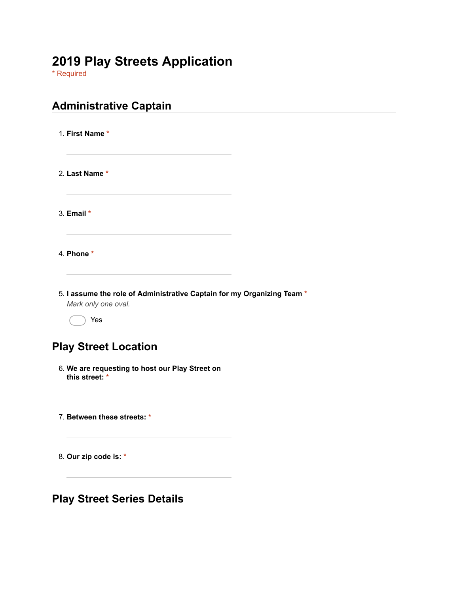# **2019 Play Streets Application**

\* Required

| <b>Administrative Captain</b>                                                                  |  |
|------------------------------------------------------------------------------------------------|--|
| 1. First Name *                                                                                |  |
| 2. Last Name *                                                                                 |  |
| 3. Email *                                                                                     |  |
| 4. Phone *                                                                                     |  |
| 5. I assume the role of Administrative Captain for my Organizing Team *<br>Mark only one oval. |  |
| Yes                                                                                            |  |
| <b>Play Street Location</b>                                                                    |  |
| 6. We are requesting to host our Play Street on<br>this street: *                              |  |
| 7. Between these streets: *                                                                    |  |
| 8. Our zip code is: *                                                                          |  |
| <b>Play Street Series Details</b>                                                              |  |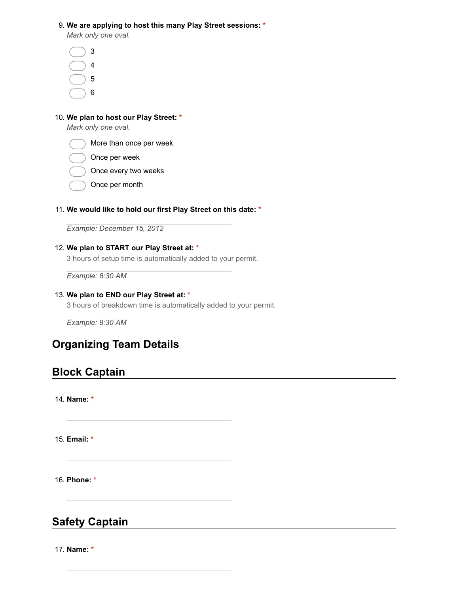#### 9. **We are applying to host this many Play Street sessions: \***

*Mark only one oval.*

| 3 |  |
|---|--|
| 4 |  |
| 5 |  |
| 6 |  |

### 10. **We plan to host our Play Street: \***

*Mark only one oval.*



- Once per week
- ) Once every two weeks
- Once per month

#### 11. **We would like to hold our first Play Street on this date: \***

*Example: December 15, 2012*

### 12. **We plan to START our Play Street at: \***

3 hours of setup time is automatically added to your permit.

*Example: 8:30 AM*

### 13. **We plan to END our Play Street at: \***

3 hours of breakdown time is automatically added to your permit.

*Example: 8:30 AM*

## **Organizing Team Details**

### **Block Captain**

14. **Name: \***

15. **Email: \***

16. **Phone: \***

### **Safety Captain**

17. **Name: \***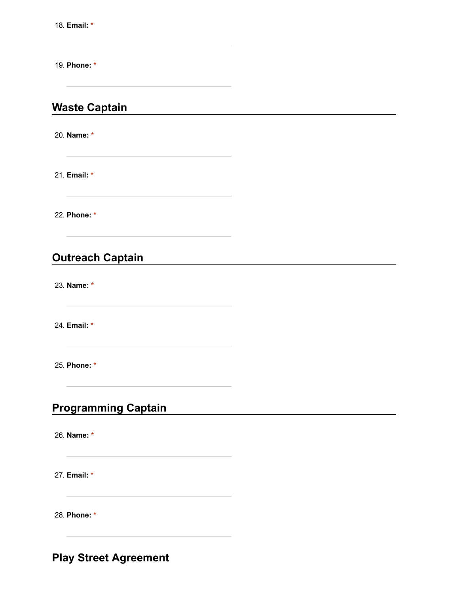18. **Email: \***

19. **Phone: \***

## **Waste Captain**

20. **Name: \***

21. **Email: \***

22. **Phone: \***

## **Outreach Captain**

23. **Name: \***

24. **Email: \***

25. **Phone: \***

## **Programming Captain**

26. **Name: \***

27. **Email: \***

28. **Phone: \***

**Play Street Agreement**